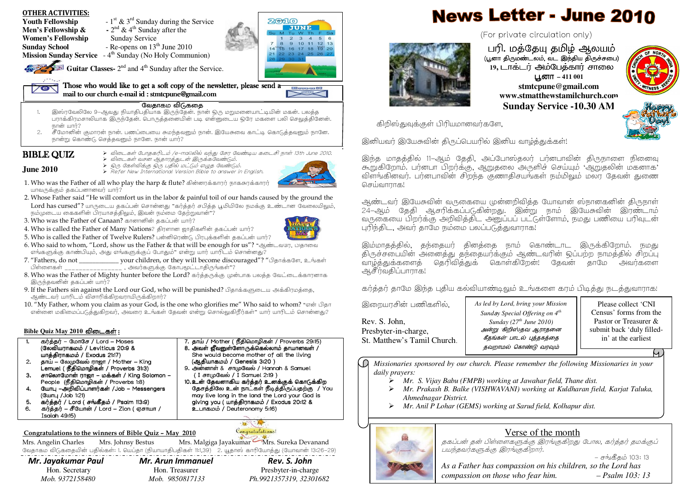- OTHER ACTIVITIES:
- **Youth Fellowship**  $-1^{st}$  & 3<sup>rd</sup> Sunday during the Service
	-
- **Men's Fellowship &**  $\cdot$   $2^{nd}$  & 4<sup>th</sup> Sunday after the
- **Women's Fellowship** Sunday Service<br>
Sunday School Re-opens on  $13^{\text{d}}$
- 
- **Sunday School** Re-opens on  $13<sup>th</sup>$  June 2010
- **Mission Sunday Service** 4<sup>th</sup> Sunday (No Holy Communion)

Guitar Classes- 2<sup>nd</sup> and 4<sup>th</sup> Sunday after the Service.

Those who would like to get a soft copy of the newsletter, please send  $\overline{\mathbf{a}}$ 

mail to our church e-mail id  $:$  stmtcpune@gmail.com gmail.com gmail.com gmail.com gmail.com gmail.com gmail.com gmail.com gmail.com gmail.com gmail.com gmail.com gmail.com gmail.com gmail.com gmail.com gmail.com gmail.co

## வேதாகம விடுகதை

- . இஸ்ரவேலிலே 9—ஆவது நியாதிபதியாக இருந்தேன். நான் ஒரு மறுமனையாட்டியின் மகன். பலத்த<br>பராக்கிரமசாலியாக இருந்தேன். பொருத்தனையின் படி என்னுடைய ஒரே மகளை பலி செலுத்தினேன். 1. $\overline{R}$ nstrati uunti 2
- 2. சீமோனின் குமாரன் நான். பணப்பையை சுமந்தவனும் நான். இயேசுவை காட்டி கொடுத்தவனும் நானே. .<br>நான்று கொண்டு செத்தவனும் நானே. நான் யார்?

# **BIBLE QUIZ**

> விடைகள் போதகரிடம் /e–mailலில் வந்து சேர வேண்டிய கடைசி நாள் 13th June 2010.<br>>> -ியூடாச் பான வாசார்கள் கிடார்களுக்கும் <J81% 5&<-+6IH.

- **June 2010**
- > ஒரு கேள்விக்கு ஒரு பதில் மட்டும் எழுத வேண்டும்.<br>No.Bafa:Naw International Version Bible to analyst in  $\blacktriangleright$  Refer New International Version Bible to answer in English.
- 1. Who was the Father of all who play the harp & flute? கின்னரக்காரர் நாகசுரக்காரர் யாவருக்கும் தகப்பனானவர் யார்?
- 2. Whose Father said "He will comfort us in the labor & painful toil of our hands caused by the ground the Lord has cursed"? யாருடைய தகப்பன் சொன்னது "கர்த்தர் சபித்த பூமியிலே நமக்கு உண்டான வேலையிலும், .<br>நம்முடைய கைகளின் பிாயாசக்கிலும். இவன் நம்மை கேற்றுவான்?
- 3. Who was the Father of Canaan? கானானின் தகப்பன் யார்?
- 4. Who is called the Father of Many Nations? திரளான ஜாதிகளின் தகப்பன் யார்?
- 5. Who is called the Father of Twelve Rulers? பன்னிரெண்டு பிரபுக்களின் தகப்பன் யார்?
- $6.$  Who said to whom, "Lord, show us the Father & that will be enough for us"? "ஆண்டவரே, ப்தாவை .<br>எங்களுக்கு காண்பியும், அது எங்களுக்குப் போதும்" என்று யார் யாரிடம் சொன்னது?
- $7.$  "Fathers, do not \_\_\_\_\_\_\_\_\_\_\_\_\_ your children, or they will become discouraged"? "பிதாக்களே, உங்கள் TJ=J\_\_\_\_\_\_\_\_\_\_\_\_\_\_\_\_,W?6D\*2<)+`J"?
- 8. Who was the Father of Mighty hunter before the Lord? கர்த்தருக்கு முன்பாக பலத்த வேட்டைக்காரனாக இருந்தவனின் தகப்பன் யார்?
- 9. If the Fathers sin against the Lord our God, who will be punished? பிதாக்களுடைய அக்கிரமத்தை, ஆண்டவர் யாரிடம் விசாரிக்கிறவராயிருக்கிறார்?
- 10. "My Father, whom you claim as your God, is the one who glorifies me" Who said to whom? "என் பிதா .<br>என்னை மகிமைப்படுக்குகிறவர். அவரை உங்கள் கேவன் என்று சொல்லுகிரீர்கள்" யார் யாரிடம் சொன்னகு?

# <u>Bible Quiz May 2010 விடைகள் :</u>

- 1.கர்க்கர் – மோசே / Lord – Moses கர்த்தர் – மோசே / Lord – Moses **St. Matthew's Tamil Church.** " 7. தாய் / Mother ( நீதிமொழிகள் / Proverbs 29:15) St. Matthew's Tamil Church.<br>இல்லியாசாலம் / Lovitious 20:0 & பெரி விலர் மீணைக்கோட்டுகல்லும் சுயாசலர் / (லேவியராகமம் / Leviticus 20:9 & யாத்திராகமம் / Exodus 21:17)  $2. \quad$  தாய் – லேமுவேல் ராஜா / Mother – King
- Lemuel( Lemuel(x)9yJ x)9yJ x)9yJ/Proverb Proverb Proverbs31:3)
- 3. சாலொமோன் ராஜா மக்கள் / King Solomon People (நீதிமொழிகள் / Proverbs 1:8)<br><sup>ஒய்து</sup>ப்படுவில் ராசர்சர் ( Johan Megge
- 4.. யோபு –அறிவிப்பாளர்கள் /Job – Messengers (Gшп<sub>Ц</sub> /Job 1:21)
- . கர்த்தர் / Lord ( சங்கீதம் / Psalm 113:9) 5.
- 6.கர்த்தர் – சீயோன் / Lord – Zion ( ஏசாயா /  $Isqian$   $49:15$ )

### Congratulations to the winners of Bible Quiz – May 2010

Mrs. Angelin Charles Mrs. Johnsy Bestus Mrs. Malgiga Jayakumar Mrs. Sureka Devanand

கேடிராகம் விடுகதையின் பதில்கள்: 1. யெப்தா (நியாயாதிபதிகள் 11:1,39) 2. யூதாஸ் காரியோத்து (யோவான் 13:26-29)

# Mr. Jayakumar Paul Mr. Arun Immanuel Rev. S. John

 Hon. Secretary Hon. Treasurer Presbyter-in-charge  *Mob. 9372158480 Mob. 9850817133 Ph.9921357319, 32301682* 

8. அவள் ஜீவனுள்ளோருக்கெல்லாம் தாயானவள் / She would become mother of all the living

10.உன் தேவனாகிய கர்த்தர் உனக்குக் கொடுக்கிற தேசத்திலே உன் நாட்கள் நீடித்திருப்பதற்கு / You may live long in the land the Lord your God is giving you ( யாத்திராகமம் / Exodus 20:12 &

(ஆதியாகமம் / Genesis 3:20 )<br>கட்டார் மாகியப்பட்ட 9. அன்னாள் & சாமுவேல் / Hannah & Samuel (I சாமுவேல் / I Samuel 2:19)

<u>உபாகம</u>ம் / Deuteronomy 5:16)

**M**C Congratulations!

# **News Letter - June 2010**

(For private circulation only)



பரி. மத்தேயு தமிழ் ஆலயம்<br>மாதிநமன் லட்வட இந்திய திநச்சனும் (பூனா திருமண்டலம், வட இந்திய திருச்சபை)<br>-**19, டாக்டர் அம்பேத்கார் சாலை பூனா – 411 001 stmtcpune@gmail.com www.stmatthewstamilchurch.com**



 $769998$  $C$   $C$   $C$   $C$   $C$ 

**Sunday Service -10.30 AM**

கிறிஸ்துவுக்குள் பிரியமானவர்களே,

இனியவர் இயேசுவின் திருப்பெயரில் இனிய வாழ்த்துக்கள்!

இந்த மாதத்தில் 11-ஆம் தேதி, அப்போஸ்தலர் பர்னபாவின் திருநாளை நினைவு .<br>கூறுகிறோம். பர்னபா பிறர்க்கு, ஆறுதலை அருளிச் செய்யும் 'ஆறுதலின் மகனாக' .<br>விளங்கினவர். பர்னபாவின் சிறந்த குணாகிசயங்கள் நம்மிலும் மலர் கேவன் துணை செய்வாராக!

ஆண்டவர் இயேசுவின் வருகையை முன்னறிவித்த யோவான் ஸ்நானகனின் திருநாள் 24–ஆம் தேதி ஆசரிக்கப்படுகின்றது. இன்று நாம் இயேசுவின் இரண்டாம் வருகையை பிறர்க்கு அறிவித்திட அனுப்பப் பட்டுள்ளோம், நமது பணியை பரிவுடன் பரிந்திட, அவர் தாமே நம்மை பலப்படுத்துவாராக!

இம்மாகக்கில், கந்தையர் கினக்கை நாம் கொண்டாட இருக்கிறோம். நமது திருச்சபையின் அனைத்து தந்தையர்க்கும் ஆண்டவரின் ஒப்பற்ற நாமத்தில் சிறப்பு ்வாழ்த்துக்களைத் தெரிவித்துக் கொள்கிறேன்! தேவன் தாமே அவர்களை ஆசீர்வகிப்பாராக!

கர்த்தர் தாமே இந்த புதிய கல்வியாண்டிலும் உங்களை கரம் பிடித்து நடத்துவாராக!

இறையாசின் பணிகளில்,

Rev. S. John,Presbyter-in-charge,

 *Sund*a*y Special Offering on 4th As led by Lord, bring your Mission Sunday (27th June 2010)* அன்று கிறிஸ்தவ ஆராதனை கீதங்கள் பாடல் புத்தகத்தை தவறாமல் கொண்டு வரவும்

Please collect 'CNI Census' forms from the Pastor or Treasurer & submit back 'duly filledin' at the earliest

.N *Missionaries sponsored by our church. Please remember the following Missionaries in your daily prayers:* 

- *Mr. S. Vijay Babu (FMPB) working at Jawahar field, Thane dist.*
- $\blacktriangleright$  *Mr. Prakash B. Balke (VISHWAVANI) working at Kuldharan field, Karjat Taluka, Ahmednagar District.*
- *Mr. Anil P Lohar (GEMS) working at Sarud field, Kolhapur dist.*



# Verse of the month

தகப்பன் தன் பிள்ளைகளுக்கு இரங்குகிறது போல, கர்த்தர் தமக்குப் \*(,?6D `D7Y?.

– சங்கீதம் 103: 13 *As a Father has compassion on his children, so the Lord has compassion on those who fear him. –Psalm 103: 13*



 $20010$ 

JUNE  $\overline{\phantom{a}}$ 

 $8910111213$ <br> $151617181920$